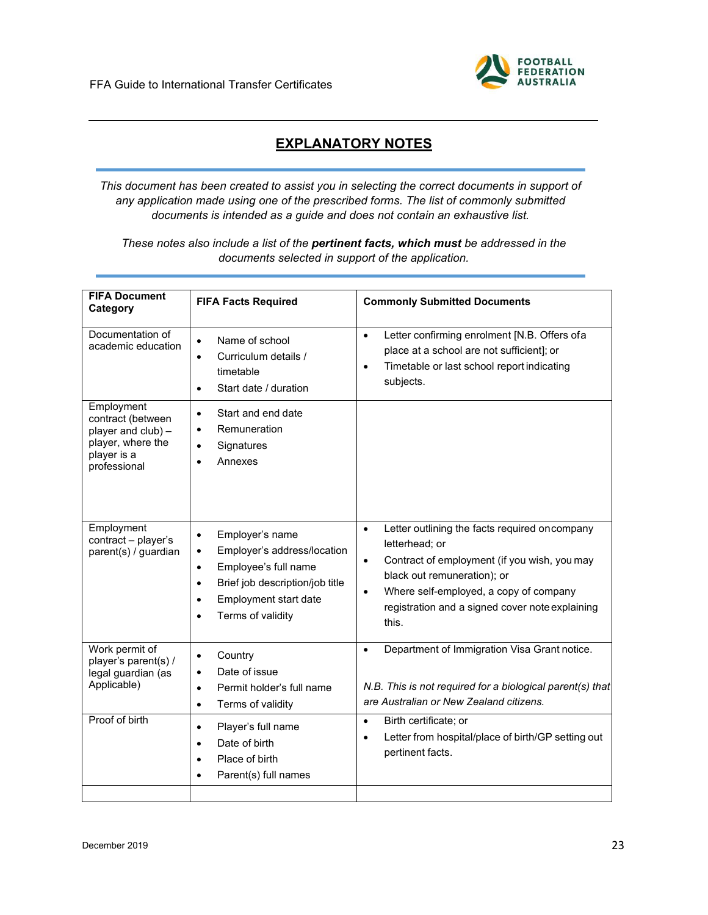

## **EXPLANATORY NOTES**

*This document has been created to assist you in selecting the correct documents in support of any application made using one of the prescribed forms. The list of commonly submitted documents is intended as a guide and does not contain an exhaustive list.*

*These notes also include a list of the pertinent facts, which must be addressed in the documents selected in support of the application.*

| <b>FIFA Document</b><br>Category                                                                          | <b>FIFA Facts Required</b>                                                                                                                                                                                                            | <b>Commonly Submitted Documents</b>                                                                                                                                                                                                                                                          |
|-----------------------------------------------------------------------------------------------------------|---------------------------------------------------------------------------------------------------------------------------------------------------------------------------------------------------------------------------------------|----------------------------------------------------------------------------------------------------------------------------------------------------------------------------------------------------------------------------------------------------------------------------------------------|
| Documentation of<br>academic education                                                                    | Name of school<br>$\bullet$<br>Curriculum details /<br>$\bullet$<br>timetable<br>Start date / duration<br>$\bullet$                                                                                                                   | Letter confirming enrolment [N.B. Offers ofa<br>$\bullet$<br>place at a school are not sufficient]; or<br>Timetable or last school report indicating<br>$\bullet$<br>subjects.                                                                                                               |
| Employment<br>contract (between<br>player and club) -<br>player, where the<br>player is a<br>professional | Start and end date<br>$\bullet$<br>Remuneration<br>$\bullet$<br>Signatures<br>$\bullet$<br>Annexes<br>$\bullet$                                                                                                                       |                                                                                                                                                                                                                                                                                              |
| Employment<br>contract - player's<br>parent(s) / guardian                                                 | Employer's name<br>$\bullet$<br>Employer's address/location<br>$\bullet$<br>Employee's full name<br>$\bullet$<br>Brief job description/job title<br>$\bullet$<br>Employment start date<br>$\bullet$<br>Terms of validity<br>$\bullet$ | Letter outlining the facts required on company<br>$\bullet$<br>letterhead; or<br>Contract of employment (if you wish, you may<br>$\bullet$<br>black out remuneration); or<br>Where self-employed, a copy of company<br>$\bullet$<br>registration and a signed cover note explaining<br>this. |
| Work permit of<br>player's parent(s) /<br>legal guardian (as<br>Applicable)                               | Country<br>$\bullet$<br>Date of issue<br>$\bullet$<br>Permit holder's full name<br>$\bullet$<br>Terms of validity<br>$\bullet$                                                                                                        | Department of Immigration Visa Grant notice.<br>$\bullet$<br>N.B. This is not required for a biological parent(s) that<br>are Australian or New Zealand citizens.                                                                                                                            |
| Proof of birth                                                                                            | Player's full name<br>$\bullet$<br>Date of birth<br>$\bullet$<br>Place of birth<br>$\bullet$<br>Parent(s) full names<br>$\bullet$                                                                                                     | Birth certificate; or<br>$\bullet$<br>Letter from hospital/place of birth/GP setting out<br>$\bullet$<br>pertinent facts.                                                                                                                                                                    |
|                                                                                                           |                                                                                                                                                                                                                                       |                                                                                                                                                                                                                                                                                              |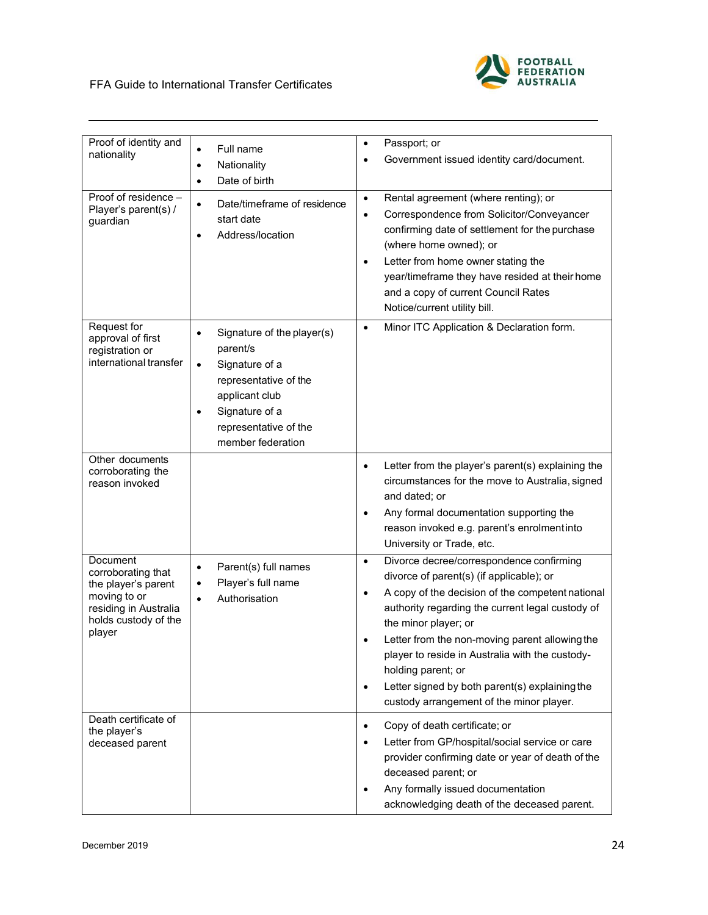| Proof of identity and<br>nationality                                                                                             | Full name<br>$\bullet$<br>Nationality<br>$\bullet$<br>Date of birth<br>$\bullet$                                                                                                                           | Passport; or<br>$\bullet$<br>Government issued identity card/document.                                                                                                                                                                                                                                                                                                                                                                                                  |
|----------------------------------------------------------------------------------------------------------------------------------|------------------------------------------------------------------------------------------------------------------------------------------------------------------------------------------------------------|-------------------------------------------------------------------------------------------------------------------------------------------------------------------------------------------------------------------------------------------------------------------------------------------------------------------------------------------------------------------------------------------------------------------------------------------------------------------------|
| $\overline{\text{Proof}}$ of residence $-$<br>Player's parent(s) /<br>guardian                                                   | Date/timeframe of residence<br>$\bullet$<br>start date<br>Address/location<br>$\bullet$                                                                                                                    | Rental agreement (where renting); or<br>$\bullet$<br>Correspondence from Solicitor/Conveyancer<br>$\bullet$<br>confirming date of settlement for the purchase<br>(where home owned); or<br>Letter from home owner stating the<br>$\bullet$<br>year/timeframe they have resided at their home<br>and a copy of current Council Rates<br>Notice/current utility bill.                                                                                                     |
| Request for<br>approval of first<br>registration or<br>international transfer                                                    | Signature of the player(s)<br>$\bullet$<br>parent/s<br>Signature of a<br>$\bullet$<br>representative of the<br>applicant club<br>Signature of a<br>$\bullet$<br>representative of the<br>member federation | Minor ITC Application & Declaration form.<br>$\bullet$                                                                                                                                                                                                                                                                                                                                                                                                                  |
| Other documents<br>corroborating the<br>reason invoked                                                                           |                                                                                                                                                                                                            | Letter from the player's parent(s) explaining the<br>$\bullet$<br>circumstances for the move to Australia, signed<br>and dated; or<br>Any formal documentation supporting the<br>reason invoked e.g. parent's enrolmentinto<br>University or Trade, etc.                                                                                                                                                                                                                |
| Document<br>corroborating that<br>the player's parent<br>moving to or<br>residing in Australia<br>holds custody of the<br>player | Parent(s) full names<br>$\bullet$<br>Player's full name<br>$\bullet$<br>Authorisation<br>$\bullet$                                                                                                         | Divorce decree/correspondence confirming<br>$\bullet$<br>divorce of parent(s) (if applicable); or<br>A copy of the decision of the competent national<br>$\bullet$<br>authority regarding the current legal custody of<br>the minor player; or<br>Letter from the non-moving parent allowing the<br>player to reside in Australia with the custody-<br>holding parent; or<br>Letter signed by both parent(s) explaining the<br>custody arrangement of the minor player. |
| Death certificate of<br>the player's<br>deceased parent                                                                          |                                                                                                                                                                                                            | Copy of death certificate; or<br>$\bullet$<br>Letter from GP/hospital/social service or care<br>provider confirming date or year of death of the<br>deceased parent; or<br>Any formally issued documentation<br>acknowledging death of the deceased parent.                                                                                                                                                                                                             |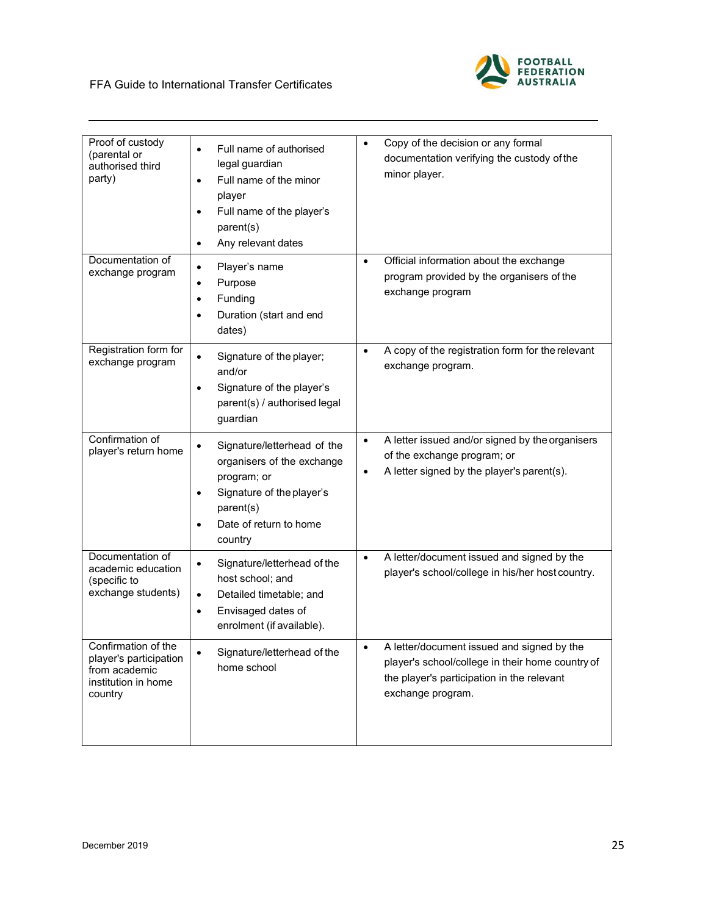| Proof of custody<br>(parental or<br>authorised third<br>party)                                   | Full name of authorised<br>$\bullet$<br>legal guardian<br>Full name of the minor<br>$\bullet$<br>player<br>Full name of the player's<br>$\bullet$<br>parent(s)<br>Any relevant dates<br>$\bullet$ | Copy of the decision or any formal<br>$\bullet$<br>documentation verifying the custody of the<br>minor player.                                                                 |
|--------------------------------------------------------------------------------------------------|---------------------------------------------------------------------------------------------------------------------------------------------------------------------------------------------------|--------------------------------------------------------------------------------------------------------------------------------------------------------------------------------|
| Documentation of<br>exchange program                                                             | Player's name<br>$\bullet$<br>Purpose<br>$\bullet$<br>Funding<br>$\bullet$<br>Duration (start and end<br>$\bullet$<br>dates)                                                                      | Official information about the exchange<br>$\bullet$<br>program provided by the organisers of the<br>exchange program                                                          |
| Registration form for<br>exchange program                                                        | Signature of the player;<br>$\bullet$<br>and/or<br>Signature of the player's<br>$\bullet$<br>parent(s) / authorised legal<br>guardian                                                             | A copy of the registration form for the relevant<br>$\bullet$<br>exchange program.                                                                                             |
| Confirmation of<br>player's return home                                                          | Signature/letterhead of the<br>$\bullet$<br>organisers of the exchange<br>program; or<br>Signature of the player's<br>$\bullet$<br>parent(s)<br>Date of return to home<br>$\bullet$<br>country    | A letter issued and/or signed by the organisers<br>$\bullet$<br>of the exchange program; or<br>A letter signed by the player's parent(s).<br>$\bullet$                         |
| Documentation of<br>academic education<br>(specific to<br>exchange students)                     | Signature/letterhead of the<br>$\bullet$<br>host school; and<br>Detailed timetable; and<br>$\bullet$<br>Envisaged dates of<br>$\bullet$<br>enrolment (if available).                              | A letter/document issued and signed by the<br>$\bullet$<br>player's school/college in his/her host country.                                                                    |
| Confirmation of the<br>player's participation<br>from academic<br>institution in home<br>country | Signature/letterhead of the<br>$\bullet$<br>home school                                                                                                                                           | A letter/document issued and signed by the<br>$\bullet$<br>player's school/college in their home country of<br>the player's participation in the relevant<br>exchange program. |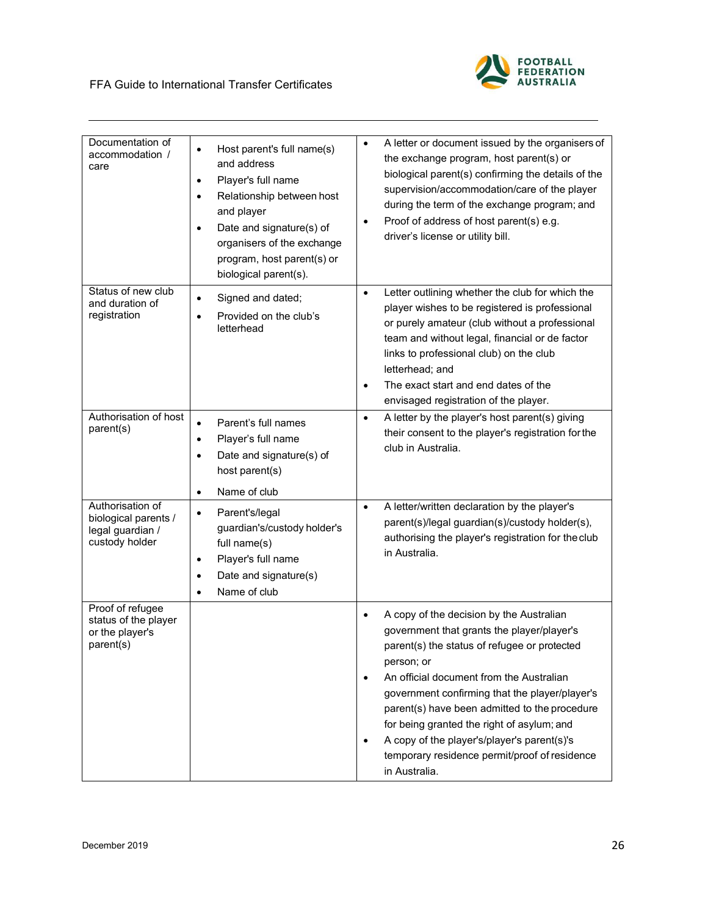

| Documentation of<br>accommodation /<br>care                                    | Host parent's full name(s)<br>$\bullet$<br>and address<br>Player's full name<br>$\bullet$<br>Relationship between host<br>$\bullet$<br>and player<br>Date and signature(s) of<br>٠<br>organisers of the exchange<br>program, host parent(s) or<br>biological parent(s). | A letter or document issued by the organisers of<br>٠<br>the exchange program, host parent(s) or<br>biological parent(s) confirming the details of the<br>supervision/accommodation/care of the player<br>during the term of the exchange program; and<br>Proof of address of host parent(s) e.g.<br>$\bullet$<br>driver's license or utility bill.                                                                                                                |
|--------------------------------------------------------------------------------|-------------------------------------------------------------------------------------------------------------------------------------------------------------------------------------------------------------------------------------------------------------------------|--------------------------------------------------------------------------------------------------------------------------------------------------------------------------------------------------------------------------------------------------------------------------------------------------------------------------------------------------------------------------------------------------------------------------------------------------------------------|
| Status of new club<br>and duration of<br>registration                          | Signed and dated;<br>٠<br>Provided on the club's<br>letterhead                                                                                                                                                                                                          | Letter outlining whether the club for which the<br>$\bullet$<br>player wishes to be registered is professional<br>or purely amateur (club without a professional<br>team and without legal, financial or de factor<br>links to professional club) on the club<br>letterhead; and<br>The exact start and end dates of the<br>envisaged registration of the player.                                                                                                  |
| Authorisation of host<br>parent(s)                                             | Parent's full names<br>$\bullet$<br>Player's full name<br>$\bullet$<br>Date and signature(s) of<br>host parent(s)<br>Name of club<br>$\bullet$                                                                                                                          | A letter by the player's host parent(s) giving<br>$\bullet$<br>their consent to the player's registration for the<br>club in Australia.                                                                                                                                                                                                                                                                                                                            |
| Authorisation of<br>biological parents /<br>legal guardian /<br>custody holder | Parent's/legal<br>$\bullet$<br>guardian's/custody holder's<br>full name(s)<br>Player's full name<br>$\bullet$<br>Date and signature(s)<br>$\bullet$<br>Name of club<br>$\bullet$                                                                                        | A letter/written declaration by the player's<br>$\bullet$<br>parent(s)/legal guardian(s)/custody holder(s),<br>authorising the player's registration for the club<br>in Australia.                                                                                                                                                                                                                                                                                 |
| Proof of refugee<br>status of the player<br>or the player's<br>parent(s)       |                                                                                                                                                                                                                                                                         | A copy of the decision by the Australian<br>government that grants the player/player's<br>parent(s) the status of refugee or protected<br>person; or<br>An official document from the Australian<br>government confirming that the player/player's<br>parent(s) have been admitted to the procedure<br>for being granted the right of asylum; and<br>A copy of the player's/player's parent(s)'s<br>temporary residence permit/proof of residence<br>in Australia. |